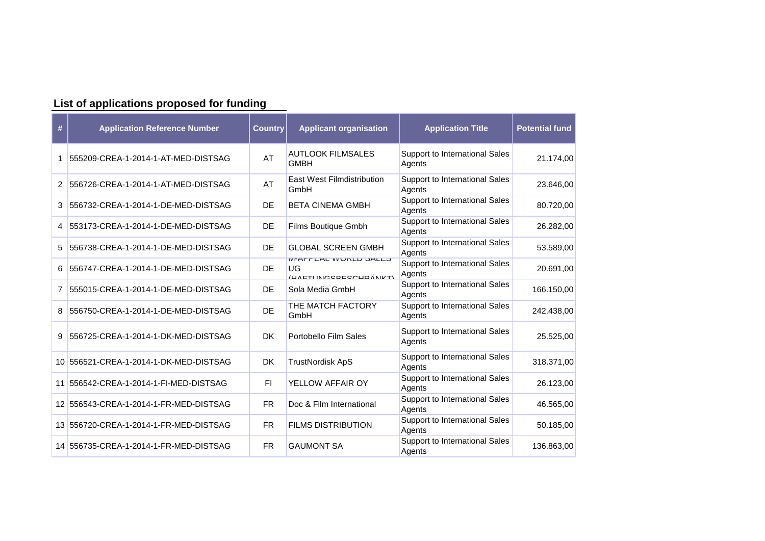| List of applications proposed for funding |                                        |                |                                                                        |                                                 |                       |  |  |  |  |
|-------------------------------------------|----------------------------------------|----------------|------------------------------------------------------------------------|-------------------------------------------------|-----------------------|--|--|--|--|
| #                                         | <b>Application Reference Number</b>    | <b>Country</b> | <b>Applicant organisation</b>                                          | <b>Application Title</b>                        | <b>Potential fund</b> |  |  |  |  |
|                                           | 555209-CREA-1-2014-1-AT-MED-DISTSAG    | AT             | <b>AUTLOOK FILMSALES</b><br><b>GMBH</b>                                | Support to International Sales<br>Agents        | 21.174,00             |  |  |  |  |
| 2                                         | 556726-CREA-1-2014-1-AT-MED-DISTSAG    | AT             | <b>East West Filmdistribution</b><br>GmbH                              | Support to International Sales<br>Agents        | 23.646,00             |  |  |  |  |
| 3                                         | 556732-CREA-1-2014-1-DE-MED-DISTSAG    | DE             | <b>BETA CINEMA GMBH</b>                                                | <b>Support to International Sales</b><br>Agents | 80.720,00             |  |  |  |  |
| 4                                         | 553173-CREA-1-2014-1-DE-MED-DISTSAG    | DE             | Films Boutique Gmbh                                                    | Support to International Sales<br>Agents        | 26.282,00             |  |  |  |  |
| 5                                         | 556738-CREA-1-2014-1-DE-MED-DISTSAG    | DE             | <b>GLOBAL SCREEN GMBH</b>                                              | Support to International Sales<br>Agents        | 53.589,00             |  |  |  |  |
| 6                                         | 556747-CREA-1-2014-1-DE-MED-DISTSAG    | DE             | <b>IVI-AFFEAL VVURLU JALEJ</b><br>UG<br><u>ILITTI INPODEOPUDÄNIKTI</u> | Support to International Sales<br>Agents        | 20.691,00             |  |  |  |  |
| 7                                         | 555015-CREA-1-2014-1-DE-MED-DISTSAG    | DE             | Sola Media GmbH                                                        | Support to International Sales<br>Agents        | 166.150,00            |  |  |  |  |
| 8                                         | 556750-CREA-1-2014-1-DE-MED-DISTSAG    | <b>DE</b>      | THE MATCH FACTORY<br>GmbH                                              | Support to International Sales<br>Agents        | 242.438,00            |  |  |  |  |
| 9                                         | 556725-CREA-1-2014-1-DK-MED-DISTSAG    | DK             | Portobello Film Sales                                                  | Support to International Sales<br>Agents        | 25.525,00             |  |  |  |  |
|                                           | 10 556521-CREA-1-2014-1-DK-MED-DISTSAG | <b>DK</b>      | <b>TrustNordisk ApS</b>                                                | Support to International Sales<br>Agents        | 318.371,00            |  |  |  |  |
| 11                                        | 556542-CREA-1-2014-1-FI-MED-DISTSAG    | <b>FI</b>      | YELLOW AFFAIR OY                                                       | <b>Support to International Sales</b><br>Agents | 26.123,00             |  |  |  |  |
|                                           | 12 556543-CREA-1-2014-1-FR-MED-DISTSAG | <b>FR</b>      | Doc & Film International                                               | Support to International Sales<br>Agents        | 46.565,00             |  |  |  |  |
|                                           | 13 556720-CREA-1-2014-1-FR-MED-DISTSAG | <b>FR</b>      | <b>FILMS DISTRIBUTION</b>                                              | Support to International Sales<br>Agents        | 50.185,00             |  |  |  |  |
|                                           | 14 556735-CREA-1-2014-1-FR-MED-DISTSAG | <b>FR</b>      | <b>GAUMONT SA</b>                                                      | Support to International Sales<br>Agents        | 136.863,00            |  |  |  |  |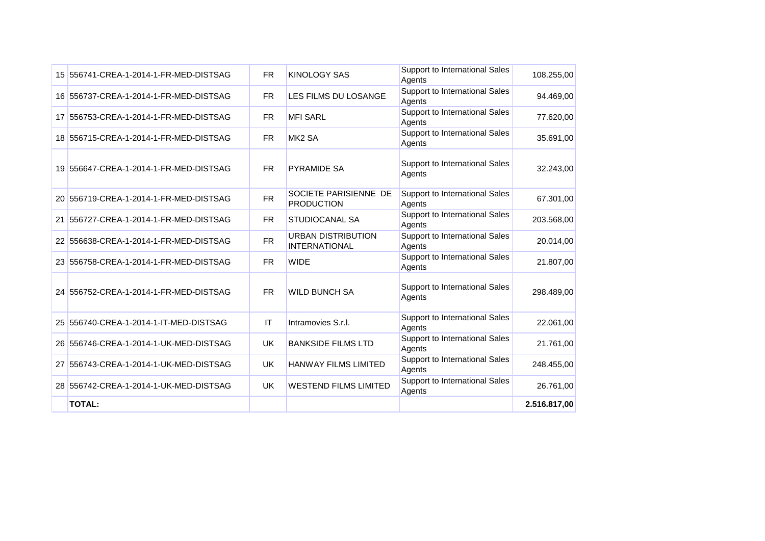| 15 556741-CREA-1-2014-1-FR-MED-DISTSAG | <b>FR</b> | <b>KINOLOGY SAS</b>                               | Support to International Sales<br>Agents | 108.255,00   |
|----------------------------------------|-----------|---------------------------------------------------|------------------------------------------|--------------|
| 16 556737-CREA-1-2014-1-FR-MED-DISTSAG | <b>FR</b> | LES FILMS DU LOSANGE                              | Support to International Sales<br>Agents | 94.469,00    |
| 17 556753-CREA-1-2014-1-FR-MED-DISTSAG | <b>FR</b> | <b>MFI SARL</b>                                   | Support to International Sales<br>Agents | 77.620,00    |
| 18 556715-CREA-1-2014-1-FR-MED-DISTSAG | <b>FR</b> | MK <sub>2</sub> SA                                | Support to International Sales<br>Agents | 35.691,00    |
| 19 556647-CREA-1-2014-1-FR-MED-DISTSAG | <b>FR</b> | <b>PYRAMIDE SA</b>                                | Support to International Sales<br>Agents | 32.243,00    |
| 20 556719-CREA-1-2014-1-FR-MED-DISTSAG | <b>FR</b> | SOCIETE PARISIENNE DE<br><b>PRODUCTION</b>        | Support to International Sales<br>Agents | 67.301,00    |
| 21 556727-CREA-1-2014-1-FR-MED-DISTSAG | <b>FR</b> | <b>STUDIOCANAL SA</b>                             | Support to International Sales<br>Agents | 203.568,00   |
| 22 556638-CREA-1-2014-1-FR-MED-DISTSAG | <b>FR</b> | <b>URBAN DISTRIBUTION</b><br><b>INTERNATIONAL</b> | Support to International Sales<br>Agents | 20.014,00    |
| 23 556758-CREA-1-2014-1-FR-MED-DISTSAG | <b>FR</b> | <b>WIDE</b>                                       | Support to International Sales<br>Agents | 21.807,00    |
| 24 556752-CREA-1-2014-1-FR-MED-DISTSAG | <b>FR</b> | <b>WILD BUNCH SA</b>                              | Support to International Sales<br>Agents | 298.489,00   |
| 25 556740-CREA-1-2014-1-IT-MED-DISTSAG | IT        | Intramovies S.r.I.                                | Support to International Sales<br>Agents | 22.061,00    |
| 26 556746-CREA-1-2014-1-UK-MED-DISTSAG | UK        | <b>BANKSIDE FILMS LTD</b>                         | Support to International Sales<br>Agents | 21.761,00    |
| 27 556743-CREA-1-2014-1-UK-MED-DISTSAG | <b>UK</b> | <b>HANWAY FILMS LIMITED</b>                       | Support to International Sales<br>Agents | 248.455,00   |
| 28 556742-CREA-1-2014-1-UK-MED-DISTSAG | <b>UK</b> | <b>WESTEND FILMS LIMITED</b>                      | Support to International Sales<br>Agents | 26.761,00    |
| <b>TOTAL:</b>                          |           |                                                   |                                          | 2.516.817,00 |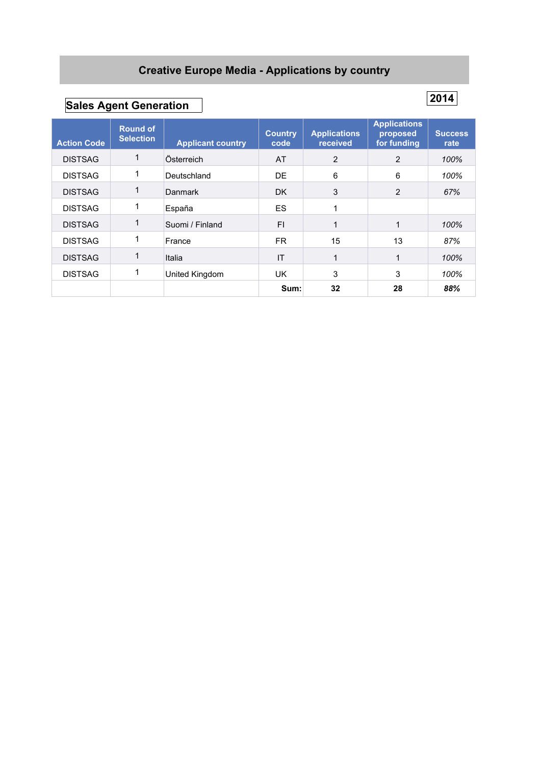### **Creative Europe Media - Applications by country**

# **Sales Agent Generation 2014**

| <b>Action Code</b> | <b>Round of</b><br><b>Selection</b> | <b>Applicant country</b> | <b>Country</b><br>code | <b>Applications</b><br>received | <b>Applications</b><br>proposed<br>for funding | <b>Success</b><br>rate |
|--------------------|-------------------------------------|--------------------------|------------------------|---------------------------------|------------------------------------------------|------------------------|
| <b>DISTSAG</b>     |                                     | Österreich               | AT                     | $\overline{2}$                  | $\overline{2}$                                 | 100%                   |
| <b>DISTSAG</b>     |                                     | Deutschland              | DE                     | 6                               | 6                                              | 100%                   |
| <b>DISTSAG</b>     |                                     | <b>Danmark</b>           | DK.                    | 3                               | 2                                              | 67%                    |
| <b>DISTSAG</b>     |                                     | España                   | ES                     | 1                               |                                                |                        |
| <b>DISTSAG</b>     |                                     | Suomi / Finland          | FI.                    | 1                               |                                                | 100%                   |
| <b>DISTSAG</b>     |                                     | France                   | FR.                    | 15                              | 13                                             | 87%                    |
| <b>DISTSAG</b>     |                                     | Italia                   | IT                     | $\mathbf{1}$                    |                                                | 100%                   |
| <b>DISTSAG</b>     | л.                                  | United Kingdom           | UK.                    | 3                               | 3                                              | 100%                   |
|                    |                                     |                          | Sum:                   | 32                              | 28                                             | 88%                    |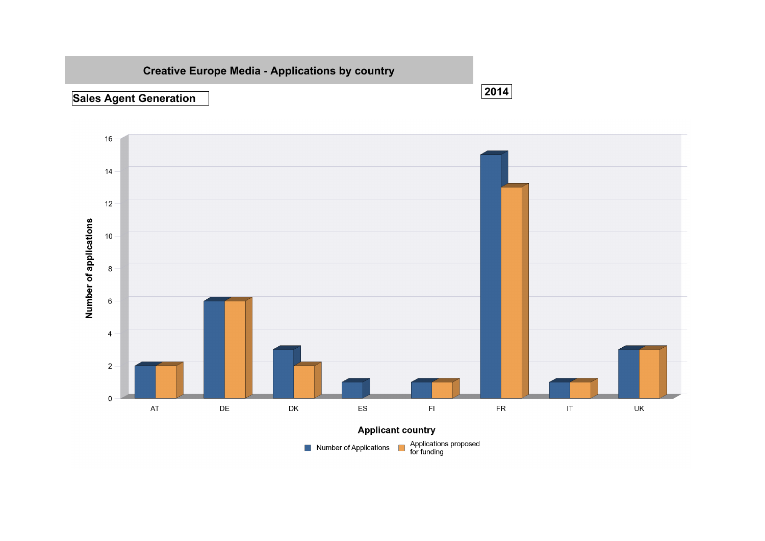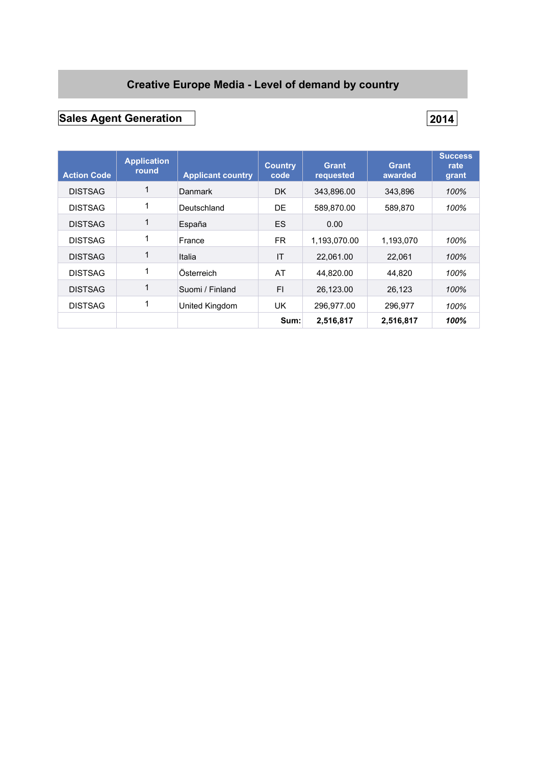### **Creative Europe Media - Level of demand by country**

## **Sales Agent Generation 2014**

| <b>Action Code</b> | <b>Application</b><br>round | <b>Applicant country</b> | <b>Country</b><br>code | Grant<br>requested | <b>Grant</b><br>awarded | <b>Success</b><br>rate<br>grant |
|--------------------|-----------------------------|--------------------------|------------------------|--------------------|-------------------------|---------------------------------|
| <b>DISTSAG</b>     | 1                           | Danmark                  | DK.                    | 343.896.00         | 343.896                 | 100%                            |
| <b>DISTSAG</b>     | 1                           | Deutschland              | DE                     | 589,870.00         | 589,870                 | 100%                            |
| <b>DISTSAG</b>     | $\mathbf 1$                 | España                   | <b>ES</b>              | 0.00               |                         |                                 |
| <b>DISTSAG</b>     | 1                           | France                   | FR.                    | 1,193,070.00       | 1,193,070               | 100%                            |
| <b>DISTSAG</b>     | 1                           | Italia                   | IT                     | 22,061.00          | 22,061                  | 100%                            |
| <b>DISTSAG</b>     | 1                           | Österreich               | AT                     | 44,820.00          | 44,820                  | 100%                            |
| <b>DISTSAG</b>     | 1                           | Suomi / Finland          | FI                     | 26.123.00          | 26,123                  | 100%                            |
| <b>DISTSAG</b>     | 1                           | United Kingdom           | UK.                    | 296,977.00         | 296,977                 | 100%                            |
|                    |                             |                          | Sum:                   | 2,516,817          | 2,516,817               | 100%                            |